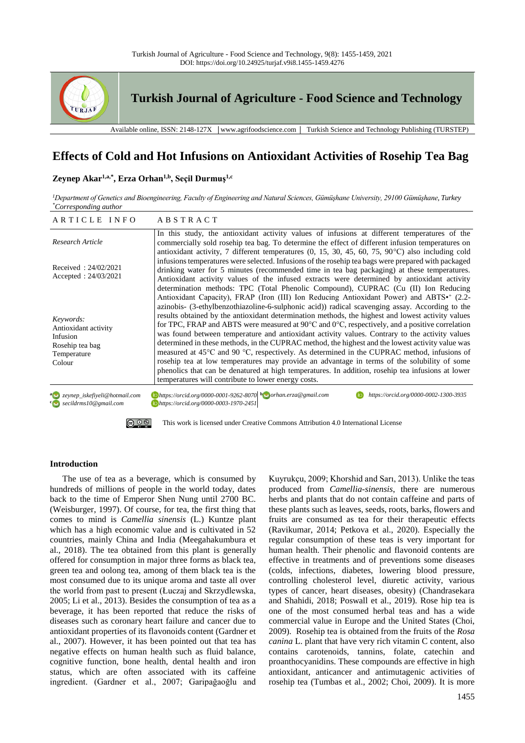

# **Effects of Cold and Hot Infusions on Antioxidant Activities of Rosehip Tea Bag**

# **Zeynep Akar1,a,\*, Erza Orhan1,b, Seçil Durmuş1,c**

*<sup>1</sup>Department of Genetics and Bioengineering, Faculty of Engineering and Natural Sciences, Gümüşhane University, 29100 Gümüşhane, Turkey \*Corresponding author*

| ARTICLE INFO                                                                                  | ABSTRACT                                                                                                                                                                                                                                                                                                                                                                                                                                                                                                                                                                                                                                                                                                                                                                                           |
|-----------------------------------------------------------------------------------------------|----------------------------------------------------------------------------------------------------------------------------------------------------------------------------------------------------------------------------------------------------------------------------------------------------------------------------------------------------------------------------------------------------------------------------------------------------------------------------------------------------------------------------------------------------------------------------------------------------------------------------------------------------------------------------------------------------------------------------------------------------------------------------------------------------|
| Research Article                                                                              | In this study, the antioxidant activity values of infusions at different temperatures of the<br>commercially sold rosehip tea bag. To determine the effect of different infusion temperatures on<br>antioxidant activity, 7 different temperatures $(0, 15, 30, 45, 60, 75, 90^{\circ}C)$ also including cold                                                                                                                                                                                                                                                                                                                                                                                                                                                                                      |
| Received: $24/02/2021$<br>Accepted: $24/03/2021$                                              | infusions temperatures were selected. Infusions of the rosehip tea bags were prepared with packaged<br>drinking water for 5 minutes (recommended time in tea bag packaging) at these temperatures.<br>Antioxidant activity values of the infused extracts were determined by antioxidant activity<br>determination methods: TPC (Total Phenolic Compound), CUPRAC (Cu (II) Ion Reducing<br>Antioxidant Capacity), FRAP (Iron (III) Ion Reducing Antioxidant Power) and ABTS <sup>*</sup> (2.2-<br>azinobis- (3-ethylbenzothiazoline-6-sulphonic acid)) radical scavenging assay. According to the                                                                                                                                                                                                  |
| Keywords:<br>Antioxidant activity<br>Infusion<br>Rosehip tea bag<br>Temperature<br>Colour     | results obtained by the antioxidant determination methods, the highest and lowest activity values<br>for TPC, FRAP and ABTS were measured at 90 $^{\circ}$ C and 0 $^{\circ}$ C, respectively, and a positive correlation<br>was found between temperature and antioxidant activity values. Contrary to the activity values<br>determined in these methods, in the CUPRAC method, the highest and the lowest activity value was<br>measured at $45^{\circ}$ C and 90 °C, respectively. As determined in the CUPRAC method, infusions of<br>rosehip tea at low temperatures may provide an advantage in terms of the solubility of some<br>phenolics that can be denatured at high temperatures. In addition, rosehip tea infusions at lower<br>temperatures will contribute to lower energy costs. |
| a seynep_iskefiyeli@hotmail.com<br><sup>c</sup> issaccildrms10@gmail.com                      | $\bullet$ https://orcid.org/0000-0001-9262-8070 $\bullet$ orhan.erza@gmail.com<br>https://orcid.org/0000-0002-1300-3935<br>Dhttps://orcid.org/0000-0003-1970-2451                                                                                                                                                                                                                                                                                                                                                                                                                                                                                                                                                                                                                                  |
| (ഒ) ⊙ ®<br>This work is licensed under Creative Commons Attribution 4.0 International License |                                                                                                                                                                                                                                                                                                                                                                                                                                                                                                                                                                                                                                                                                                                                                                                                    |

#### **Introduction**

The use of tea as a beverage, which is consumed by hundreds of millions of people in the world today, dates back to the time of Emperor Shen Nung until 2700 BC. (Weisburger, 1997). Of course, for tea, the first thing that comes to mind is *Camellia sinensis* (L.) Kuntze plant which has a high economic value and is cultivated in 52 countries, mainly China and India (Meegahakumbura et al., 2018). The tea obtained from this plant is generally offered for consumption in major three forms as black tea, green tea and oolong tea, among of them black tea is the most consumed due to its unique aroma and taste all over the world from past to present (Łuczaj and Skrzydlewska, 2005; Li et al., 2013). Besides the consumption of tea as a beverage, it has been reported that reduce the risks of diseases such as coronary heart failure and cancer due to antioxidant properties of its flavonoids content (Gardner et al., 2007). However, it has been pointed out that tea has negative effects on human health such as fluid balance, cognitive function, bone health, dental health and iron status, which are often associated with its caffeine ingredient. (Gardner et al., 2007; Garipağaoğlu and Kuyrukçu, 2009; Khorshid and Sarı, 2013). Unlike the teas produced from *Camellia-sinensis*, there are numerous herbs and plants that do not contain caffeine and parts of these plants such as leaves, seeds, roots, barks, flowers and fruits are consumed as tea for their therapeutic effects (Ravikumar, 2014; Petkova et al., 2020). Especially the regular consumption of these teas is very important for human health. Their phenolic and flavonoid contents are effective in treatments and of preventions some diseases (colds, infections, diabetes, lowering blood pressure, controlling cholesterol level, diuretic activity, various types of cancer, heart diseases, obesity) (Chandrasekara and Shahidi, 2018; Poswall et al., 2019). Rose hip tea is one of the most consumed herbal teas and has a wide commercial value in Europe and the United States (Choi, 2009). Rosehip tea is obtained from the fruits of the *Rosa canina* L. plant that have very rich vitamin C content, also contains carotenoids, tannins, folate, catechin and proanthocyanidins. These compounds are effective in high antioxidant, anticancer and antimutagenic activities of rosehip tea (Tumbas et al., 2002; Choi, 2009). It is more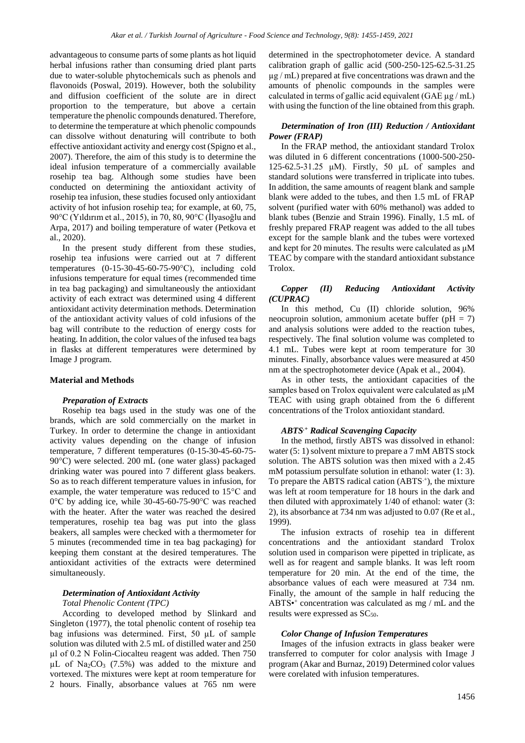advantageous to consume parts of some plants as hot liquid herbal infusions rather than consuming dried plant parts due to water-soluble phytochemicals such as phenols and flavonoids (Poswal, 2019). However, both the solubility and diffusion coefficient of the solute are in direct proportion to the temperature, but above a certain temperature the phenolic compounds denatured. Therefore, to determine the temperature at which phenolic compounds can dissolve without denaturing will contribute to both effective antioxidant activity and energy cost (Spigno et al., 2007). Therefore, the aim of this study is to determine the ideal infusion temperature of a commercially available rosehip tea bag. Although some studies have been conducted on determining the antioxidant activity of rosehip tea infusion, these studies focused only antioxidant activity of hot infusion rosehip tea; for example, at 60, 75, 90°C (Yıldırım et al., 2015), in 70, 80, 90°C (İlyasoğlu and Arpa, 2017) and boiling temperature of water (Petkova et al., 2020).

In the present study different from these studies, rosehip tea infusions were carried out at 7 different temperatures (0-15-30-45-60-75-90°C), including cold infusions temperature for equal times (recommended time in tea bag packaging) and simultaneously the antioxidant activity of each extract was determined using 4 different antioxidant activity determination methods. Determination of the antioxidant activity values of cold infusions of the bag will contribute to the reduction of energy costs for heating. In addition, the color values of the infused tea bags in flasks at different temperatures were determined by Image J program.

#### **Material and Methods**

#### *Preparation of Extracts*

Rosehip tea bags used in the study was one of the brands, which are sold commercially on the market in Turkey. In order to determine the change in antioxidant activity values depending on the change of infusion temperature, 7 different temperatures (0-15-30-45-60-75- 90°C) were selected. 200 mL (one water glass) packaged drinking water was poured into 7 different glass beakers. So as to reach different temperature values in infusion, for example, the water temperature was reduced to 15°C and 0°C by adding ice, while 30-45-60-75-90°C was reached with the heater. After the water was reached the desired temperatures, rosehip tea bag was put into the glass beakers, all samples were checked with a thermometer for 5 minutes (recommended time in tea bag packaging) for keeping them constant at the desired temperatures. The antioxidant activities of the extracts were determined simultaneously.

### *Determination of Antioxidant Activity*

#### *Total Phenolic Content (TPC)*

According to developed method by Slinkard and Singleton (1977), the total phenolic content of rosehip tea bag infusions was determined. First, 50 µL of sample solution was diluted with 2.5 mL of distilled water and 250 µl of 0.2 N Folin-Ciocalteu reagent was added. Then 750  $\mu$ L of Na<sub>2</sub>CO<sub>3</sub> (7.5%) was added to the mixture and vortexed. The mixtures were kept at room temperature for 2 hours. Finally, absorbance values at 765 nm were determined in the spectrophotometer device. A standard calibration graph of gallic acid (500-250-125-62.5-31.25  $\mu$ g / mL) prepared at five concentrations was drawn and the amounts of phenolic compounds in the samples were calculated in terms of gallic acid equivalent (GAE  $\mu$ g / mL) with using the function of the line obtained from this graph.

### *Determination of Iron (III) Reduction / Antioxidant Power (FRAP)*

In the FRAP method, the antioxidant standard Trolox was diluted in 6 different concentrations (1000-500-250- 125-62.5-31.25 μM). Firstly, 50 μL of samples and standard solutions were transferred in triplicate into tubes. In addition, the same amounts of reagent blank and sample blank were added to the tubes, and then 1.5 mL of FRAP solvent (purified water with 60% methanol) was added to blank tubes (Benzie and Strain 1996). Finally, 1.5 mL of freshly prepared FRAP reagent was added to the all tubes except for the sample blank and the tubes were vortexed and kept for 20 minutes. The results were calculated as μM TEAC by compare with the standard antioxidant substance Trolox.

#### *Copper (II) Reducing Antioxidant Activity (CUPRAC)*

In this method, Cu (II) chloride solution, 96% neocuproin solution, ammonium acetate buffer ( $pH = 7$ ) and analysis solutions were added to the reaction tubes, respectively. The final solution volume was completed to 4.1 mL. Tubes were kept at room temperature for 30 minutes. Finally, absorbance values were measured at 450 nm at the spectrophotometer device (Apak et al., 2004).

As in other tests, the antioxidant capacities of the samples based on Trolox equivalent were calculated as μM TEAC with using graph obtained from the 6 different concentrations of the Trolox antioxidant standard.

# *ABTS.+ Radical Scavenging Capacity*

In the method, firstly ABTS was dissolved in ethanol: water (5: 1) solvent mixture to prepare a 7 mM ABTS stock solution. The ABTS solution was then mixed with a 2.45 mM potassium persulfate solution in ethanol: water (1: 3). To prepare the ABTS radical cation  $(ABTS^+)$ , the mixture was left at room temperature for 18 hours in the dark and then diluted with approximately 1/40 of ethanol: water (3: 2), its absorbance at 734 nm was adjusted to 0.07 (Re et al., 1999).

The infusion extracts of rosehip tea in different concentrations and the antioxidant standard Trolox solution used in comparison were pipetted in triplicate, as well as for reagent and sample blanks. It was left room temperature for 20 min. At the end of the time, the absorbance values of each were measured at 734 nm. Finally, the amount of the sample in half reducing the ABTS<sup>++</sup> concentration was calculated as mg / mL and the results were expressed as  $SC_{50}$ .

#### *Color Change of Infusion Temperatures*

Images of the infusion extracts in glass beaker were transferred to computer for color analysis with Image J program (Akar and Burnaz, 2019) Determined color values were corelated with infusion temperatures.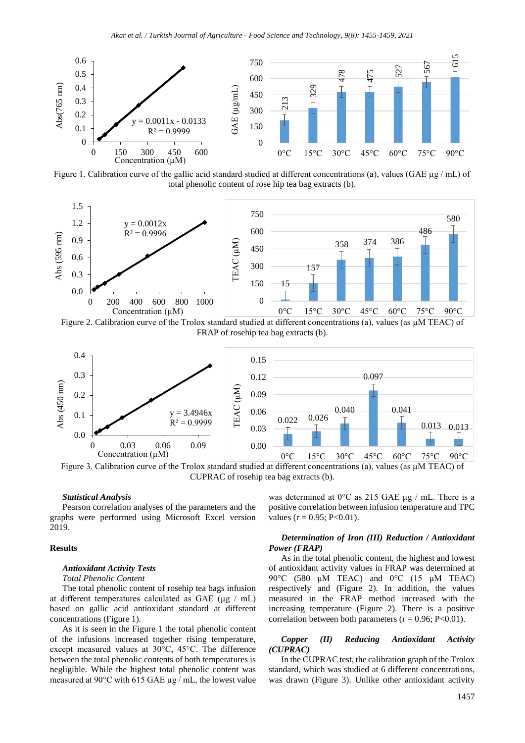

Figure 1. Calibration curve of the gallic acid standard studied at different concentrations (a), values (GAE  $\mu$ g/mL) of total phenolic content of rose hip tea bag extracts (b).



Figure 2. Calibration curve of the Trolox standard studied at different concentrations (a), values (as µM TEAC) of FRAP of rosehip tea bag extracts (b).



Figure 3. Calibration curve of the Trolox standard studied at different concentrations (a), values (as µM TEAC) of CUPRAC of rosehip tea bag extracts (b).

#### *Statistical Analysis*

Pearson correlation analyses of the parameters and the graphs were performed using Microsoft Excel version 2019.

### **Results**

### *Antioxidant Activity Tests*

# *Total Phenolic Content*

The total phenolic content of rosehip tea bags infusion at different temperatures calculated as GAE ( $\mu$ g / mL) based on gallic acid antioxidant standard at different concentrations (Figure 1).

As it is seen in the Figure 1 the total phenolic content of the infusions increased together rising temperature, except measured values at 30°C, 45°C. The difference between the total phenolic contents of both temperatures is negligible. While the highest total phenolic content was measured at 90°C with 615 GAE µg / mL, the lowest value was determined at  $0^{\circ}$ C as 215 GAE µg / mL. There is a positive correlation between infusion temperature and TPC values ( $r = 0.95$ ; P<0.01).

## *Determination of Iron (III) Reduction / Antioxidant Power (FRAP)*

As in the total phenolic content, the highest and lowest of antioxidant activity values in FRAP was determined at 90 $\degree$ C (580  $\mu$ M TEAC) and  $0\degree$ C (15  $\mu$ M TEAC) respectively and (Figure 2). In addition, the values measured in the FRAP method increased with the increasing temperature (Figure 2). There is a positive correlation between both parameters  $(r = 0.96; P<0.01)$ .

#### *Copper (II) Reducing Antioxidant Activity (CUPRAC)*

In the CUPRAC test, the calibration graph of the Trolox standard, which was studied at 6 different concentrations, was drawn (Figure 3). Unlike other antioxidant activity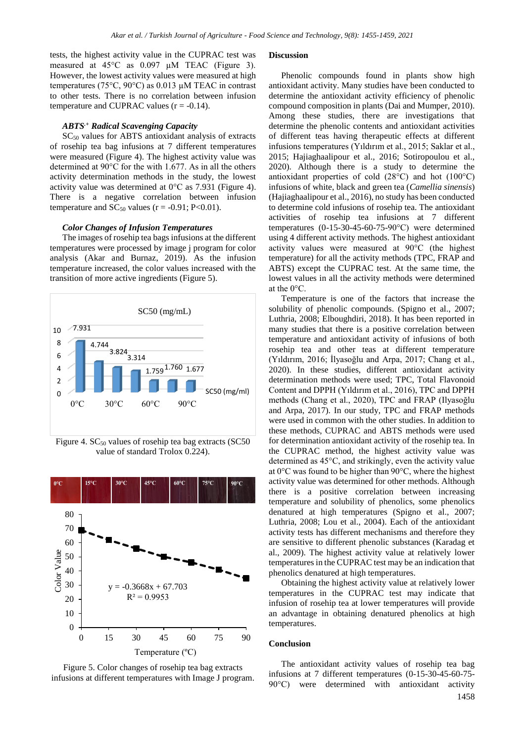tests, the highest activity value in the CUPRAC test was measured at 45°C as 0.097 µM TEAC (Figure 3). However, the lowest activity values were measured at high temperatures (75°C, 90°C) as 0.013 µM TEAC in contrast to other tests. There is no correlation between infusion temperature and CUPRAC values  $(r = -0.14)$ .

#### *ABTS.+ Radical Scavenging Capacity*

 $SC<sub>50</sub>$  values for ABTS antioxidant analysis of extracts of rosehip tea bag infusions at 7 different temperatures were measured (Figure 4). The highest activity value was determined at 90°C for the with 1.677. As in all the others activity determination methods in the study, the lowest activity value was determined at 0°C as 7.931 (Figure 4). There is a negative correlation between infusion temperature and  $SC_{50}$  values (r = -0.91; P<0.01).

### *Color Changes of Infusion Temperatures*

The images of rosehip tea bags infusions at the different temperatures were processed by image j program for color analysis (Akar and Burnaz, 2019). As the infusion temperature increased, the color values increased with the transition of more active ingredients (Figure 5).



Figure 4.  $SC_{50}$  values of rosehip tea bag extracts (SC50 value of standard Trolox 0.224).



Figure 5. Color changes of rosehip tea bag extracts infusions at different temperatures with Image J program.

#### **Discussion**

Phenolic compounds found in plants show high antioxidant activity. Many studies have been conducted to determine the antioxidant activity efficiency of phenolic compound composition in plants (Dai and Mumper, 2010). Among these studies, there are investigations that determine the phenolic contents and antioxidant activities of different teas having therapeutic effects at different infusions temperatures (Yıldırım et al., 2015; Saklar et al., 2015; Hajiaghaalipour et al., 2016; Sotiropoulou et al., 2020). Although there is a study to determine the antioxidant properties of cold (28°C) and hot (100°C) infusions of white, black and green tea (*Camellia sinensis*) (Hajiaghaalipour et al., 2016), no study has been conducted to determine cold infusions of rosehip tea. The antioxidant activities of rosehip tea infusions at 7 different temperatures (0-15-30-45-60-75-90°C) were determined using 4 different activity methods. The highest antioxidant activity values were measured at 90°C (the highest temperature) for all the activity methods (TPC, FRAP and ABTS) except the CUPRAC test. At the same time, the lowest values in all the activity methods were determined at the 0°C.

Temperature is one of the factors that increase the solubility of phenolic compounds. (Spigno et al., 2007; Luthria, 2008; Elboughdiri, 2018). It has been reported in many studies that there is a positive correlation between temperature and antioxidant activity of infusions of both rosehip tea and other teas at different temperature (Yıldırım, 2016; İlyasoğlu and Arpa, 2017; Chang et al., 2020). In these studies, different antioxidant activity determination methods were used; TPC, Total Flavonoid Content and DPPH (Yıldırım et al., 2016), TPC and DPPH methods (Chang et al., 2020), TPC and FRAP (Ilyasoğlu and Arpa, 2017). In our study, TPC and FRAP methods were used in common with the other studies. In addition to these methods, CUPRAC and ABTS methods were used for determination antioxidant activity of the rosehip tea. In the CUPRAC method, the highest activity value was determined as 45°C, and strikingly, even the activity value at 0°C was found to be higher than 90°C, where the highest activity value was determined for other methods. Although there is a positive correlation between increasing temperature and solubility of phenolics, some phenolics denatured at high temperatures (Spigno et al., 2007; Luthria, 2008; Lou et al., 2004). Each of the antioxidant activity tests has different mechanisms and therefore they are sensitive to different phenolic substances (Karadag et al., 2009). The highest activity value at relatively lower temperatures in the CUPRAC test may be an indication that phenolics denatured at high temperatures.

Obtaining the highest activity value at relatively lower temperatures in the CUPRAC test may indicate that infusion of rosehip tea at lower temperatures will provide an advantage in obtaining denatured phenolics at high temperatures.

#### **Conclusion**

The antioxidant activity values of rosehip tea bag infusions at 7 different temperatures (0-15-30-45-60-75- 90°C) were determined with antioxidant activity